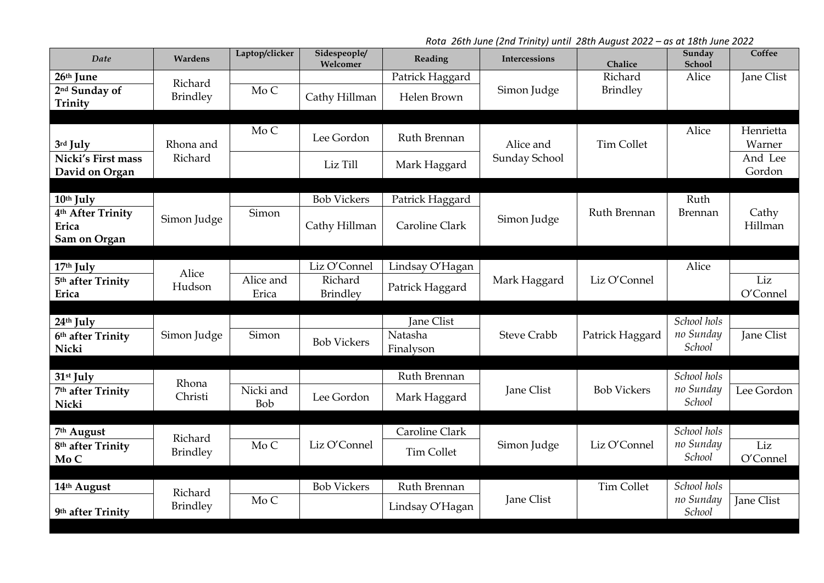*Rota 26th June (2nd Trinity) until 28th August 2022 – as at 18th June 2022*

| Date                                                                | Wardens                    | Laptop/clicker     | Sidespeople/<br>Welcomer            | Reading                            | Intercessions      | Chalice                    | Sunday<br>School                   | Coffee              |
|---------------------------------------------------------------------|----------------------------|--------------------|-------------------------------------|------------------------------------|--------------------|----------------------------|------------------------------------|---------------------|
| 26th June<br>2 <sup>nd</sup> Sunday of<br>Trinity                   | Richard<br><b>Brindley</b> | Mo C               | Cathy Hillman                       | Patrick Haggard<br>Helen Brown     | Simon Judge        | Richard<br><b>Brindley</b> | Alice                              | Jane Clist          |
|                                                                     |                            |                    |                                     |                                    |                    |                            |                                    |                     |
| 3rd July                                                            | Rhona and                  | Mo C               | Lee Gordon                          | Ruth Brennan                       | Alice and          | <b>Tim Collet</b>          | Alice                              | Henrietta<br>Warner |
| Nicki's First mass<br>David on Organ                                | Richard                    |                    | Liz Till                            | Mark Haggard                       | Sunday School      |                            |                                    | And Lee<br>Gordon   |
|                                                                     |                            |                    |                                     |                                    |                    |                            |                                    |                     |
| 10th July<br>4 <sup>th</sup> After Trinity<br>Erica<br>Sam on Organ | Simon Judge                | Simon              | <b>Bob Vickers</b><br>Cathy Hillman | Patrick Haggard<br>Caroline Clark  | Simon Judge        | Ruth Brennan               | Ruth<br>Brennan                    | Cathy<br>Hillman    |
|                                                                     |                            |                    |                                     |                                    |                    |                            |                                    |                     |
| 17th July<br>5 <sup>th</sup> after Trinity<br>Erica                 | Alice<br>Hudson            | Alice and<br>Erica | Liz O'Connel<br>Richard<br>Brindley | Lindsay O'Hagan<br>Patrick Haggard | Mark Haggard       | Liz O'Connel               | Alice                              | Liz<br>O'Connel     |
|                                                                     |                            |                    |                                     |                                    |                    |                            |                                    |                     |
| 24th July<br>6th after Trinity<br>Nicki                             | Simon Judge                | Simon              | <b>Bob Vickers</b>                  | Jane Clist<br>Natasha<br>Finalyson | <b>Steve Crabb</b> | Patrick Haggard            | School hols<br>no Sunday<br>School | <b>Jane Clist</b>   |
|                                                                     |                            |                    |                                     |                                    |                    |                            |                                    |                     |
| 31 <sup>st</sup> July<br>7 <sup>th</sup> after Trinity<br>Nicki     | Rhona<br>Christi           | Nicki and<br>Bob   | Lee Gordon                          | Ruth Brennan<br>Mark Haggard       | <b>Jane Clist</b>  | <b>Bob Vickers</b>         | School hols<br>no Sunday<br>School | Lee Gordon          |
|                                                                     |                            |                    |                                     |                                    |                    |                            |                                    |                     |
| 7th August                                                          | Richard                    |                    |                                     | Caroline Clark                     |                    |                            | School hols                        |                     |
| 8 <sup>th</sup> after Trinity<br>Mo C                               | <b>Brindley</b>            | Mo C               | Liz O'Connel                        | <b>Tim Collet</b>                  | Simon Judge        | Liz O'Connel               | no Sunday<br>School                | Liz<br>O'Connel     |
|                                                                     |                            |                    |                                     |                                    |                    |                            |                                    |                     |
| 14th August                                                         | Richard                    |                    | <b>Bob Vickers</b>                  | Ruth Brennan                       |                    | <b>Tim Collet</b>          | School hols                        |                     |
| 9th after Trinity                                                   | <b>Brindley</b>            | Mo C               |                                     | Lindsay O'Hagan                    | Jane Clist         |                            | no Sunday<br>School                | Jane Clist          |